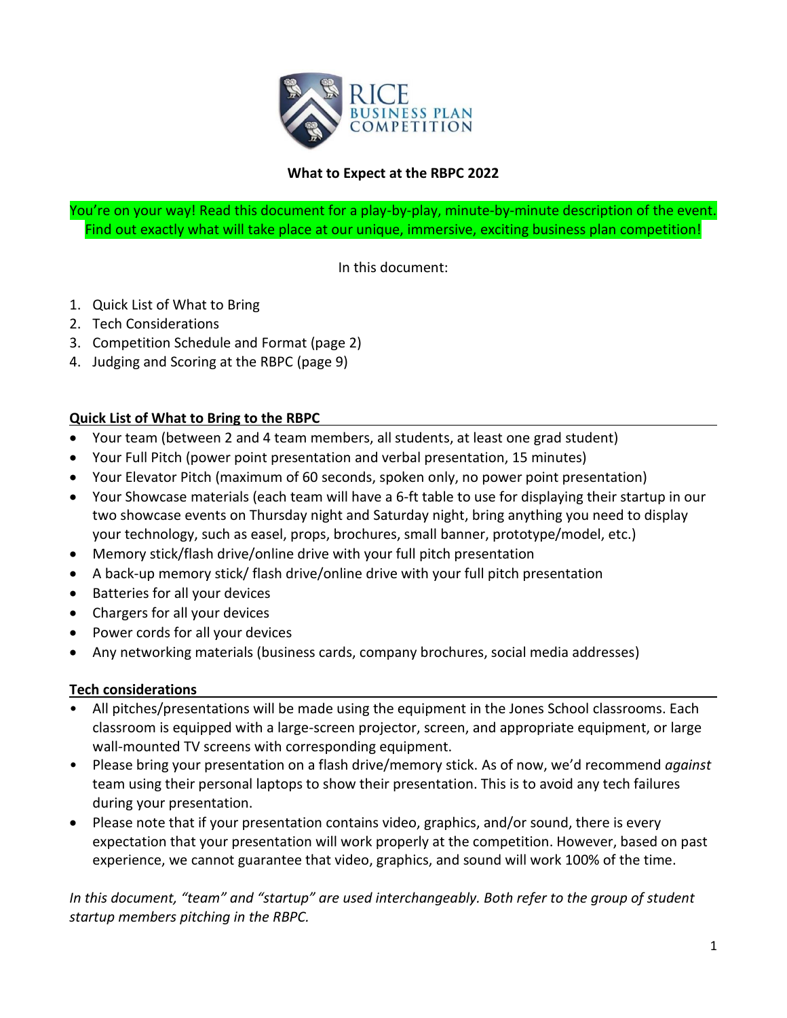

# **What to Expect at the RBPC 2022**

You're on your way! Read this document for a play-by-play, minute-by-minute description of the event. Find out exactly what will take place at our unique, immersive, exciting business plan competition!

In this document:

- 1. Quick List of What to Bring
- 2. Tech Considerations
- 3. Competition Schedule and Format (page 2)
- 4. Judging and Scoring at the RBPC (page 9)

#### **Quick List of What to Bring to the RBPC**

- Your team (between 2 and 4 team members, all students, at least one grad student)
- Your Full Pitch (power point presentation and verbal presentation, 15 minutes)
- Your Elevator Pitch (maximum of 60 seconds, spoken only, no power point presentation)
- Your Showcase materials (each team will have a 6-ft table to use for displaying their startup in our two showcase events on Thursday night and Saturday night, bring anything you need to display your technology, such as easel, props, brochures, small banner, prototype/model, etc.)
- Memory stick/flash drive/online drive with your full pitch presentation
- A back-up memory stick/ flash drive/online drive with your full pitch presentation
- Batteries for all your devices
- Chargers for all your devices
- Power cords for all your devices
- Any networking materials (business cards, company brochures, social media addresses)

#### **Tech considerations**

- All pitches/presentations will be made using the equipment in the Jones School classrooms. Each classroom is equipped with a large-screen projector, screen, and appropriate equipment, or large wall-mounted TV screens with corresponding equipment.
- Please bring your presentation on a flash drive/memory stick. As of now, we'd recommend *against* team using their personal laptops to show their presentation. This is to avoid any tech failures during your presentation.
- Please note that if your presentation contains video, graphics, and/or sound, there is every expectation that your presentation will work properly at the competition. However, based on past experience, we cannot guarantee that video, graphics, and sound will work 100% of the time.

*In this document, "team" and "startup" are used interchangeably. Both refer to the group of student startup members pitching in the RBPC.*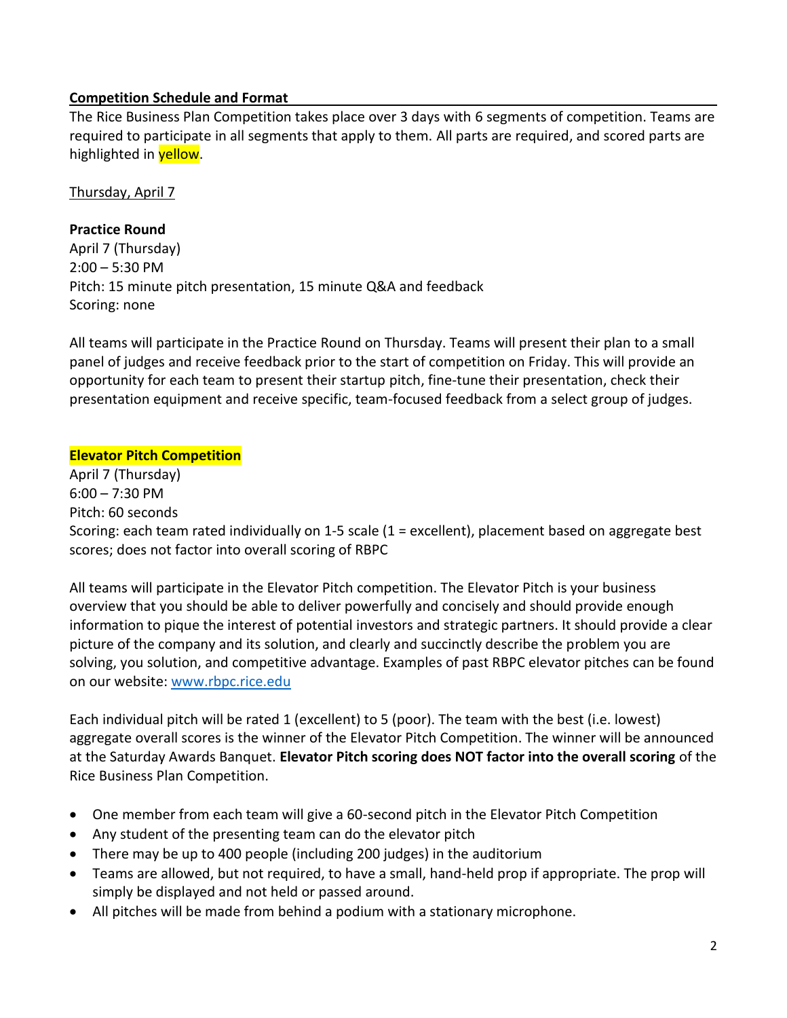# **Competition Schedule and Format**

The Rice Business Plan Competition takes place over 3 days with 6 segments of competition. Teams are required to participate in all segments that apply to them. All parts are required, and scored parts are highlighted in **yellow**.

Thursday, April 7

# **Practice Round**

April 7 (Thursday) 2:00 – 5:30 PM Pitch: 15 minute pitch presentation, 15 minute Q&A and feedback Scoring: none

All teams will participate in the Practice Round on Thursday. Teams will present their plan to a small panel of judges and receive feedback prior to the start of competition on Friday. This will provide an opportunity for each team to present their startup pitch, fine-tune their presentation, check their presentation equipment and receive specific, team-focused feedback from a select group of judges.

# **Elevator Pitch Competition**

April 7 (Thursday) 6:00 – 7:30 PM Pitch: 60 seconds Scoring: each team rated individually on 1-5 scale (1 = excellent), placement based on aggregate best scores; does not factor into overall scoring of RBPC

All teams will participate in the Elevator Pitch competition. The Elevator Pitch is your business overview that you should be able to deliver powerfully and concisely and should provide enough information to pique the interest of potential investors and strategic partners. It should provide a clear picture of the company and its solution, and clearly and succinctly describe the problem you are solving, you solution, and competitive advantage. Examples of past RBPC elevator pitches can be found on our website: [www.rbpc.rice.edu](http://www.rbpc.rice.edu/)

Each individual pitch will be rated 1 (excellent) to 5 (poor). The team with the best (i.e. lowest) aggregate overall scores is the winner of the Elevator Pitch Competition. The winner will be announced at the Saturday Awards Banquet. **Elevator Pitch scoring does NOT factor into the overall scoring** of the Rice Business Plan Competition.

- One member from each team will give a 60-second pitch in the Elevator Pitch Competition
- Any student of the presenting team can do the elevator pitch
- There may be up to 400 people (including 200 judges) in the auditorium
- Teams are allowed, but not required, to have a small, hand-held prop if appropriate. The prop will simply be displayed and not held or passed around.
- All pitches will be made from behind a podium with a stationary microphone.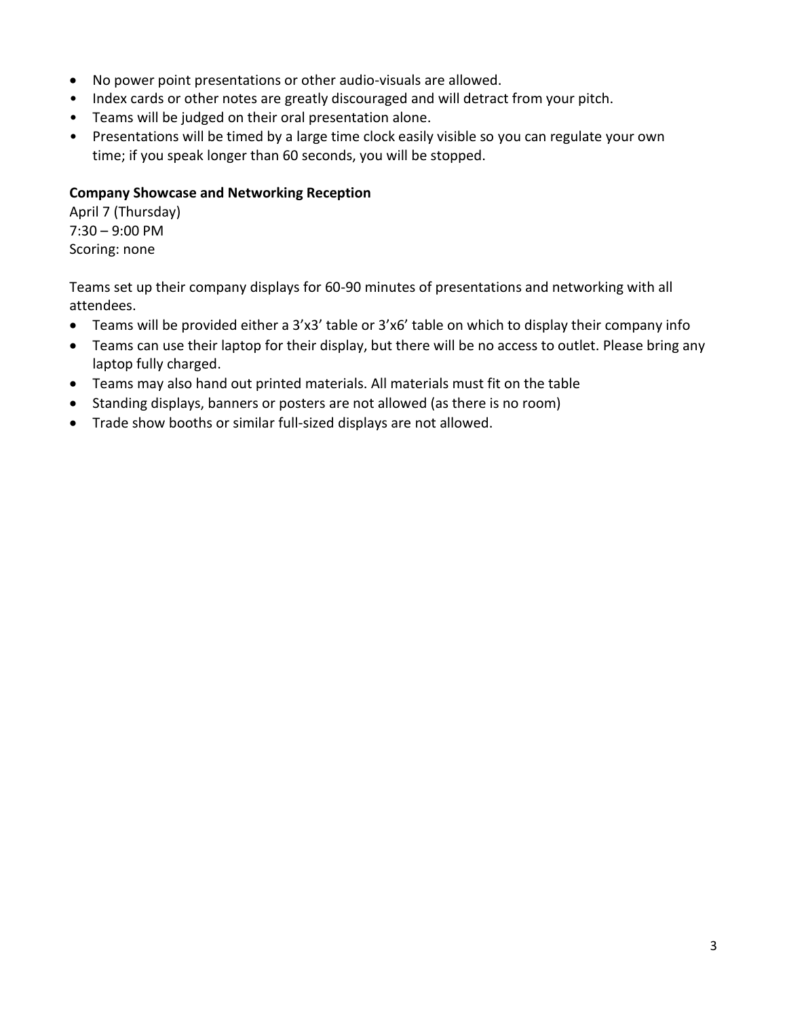- No power point presentations or other audio-visuals are allowed.
- Index cards or other notes are greatly discouraged and will detract from your pitch.
- Teams will be judged on their oral presentation alone.
- Presentations will be timed by a large time clock easily visible so you can regulate your own time; if you speak longer than 60 seconds, you will be stopped.

# **Company Showcase and Networking Reception**

April 7 (Thursday) 7:30 – 9:00 PM Scoring: none

Teams set up their company displays for 60-90 minutes of presentations and networking with all attendees.

- Teams will be provided either a 3'x3' table or 3'x6' table on which to display their company info
- Teams can use their laptop for their display, but there will be no access to outlet. Please bring any laptop fully charged.
- Teams may also hand out printed materials. All materials must fit on the table
- Standing displays, banners or posters are not allowed (as there is no room)
- Trade show booths or similar full-sized displays are not allowed.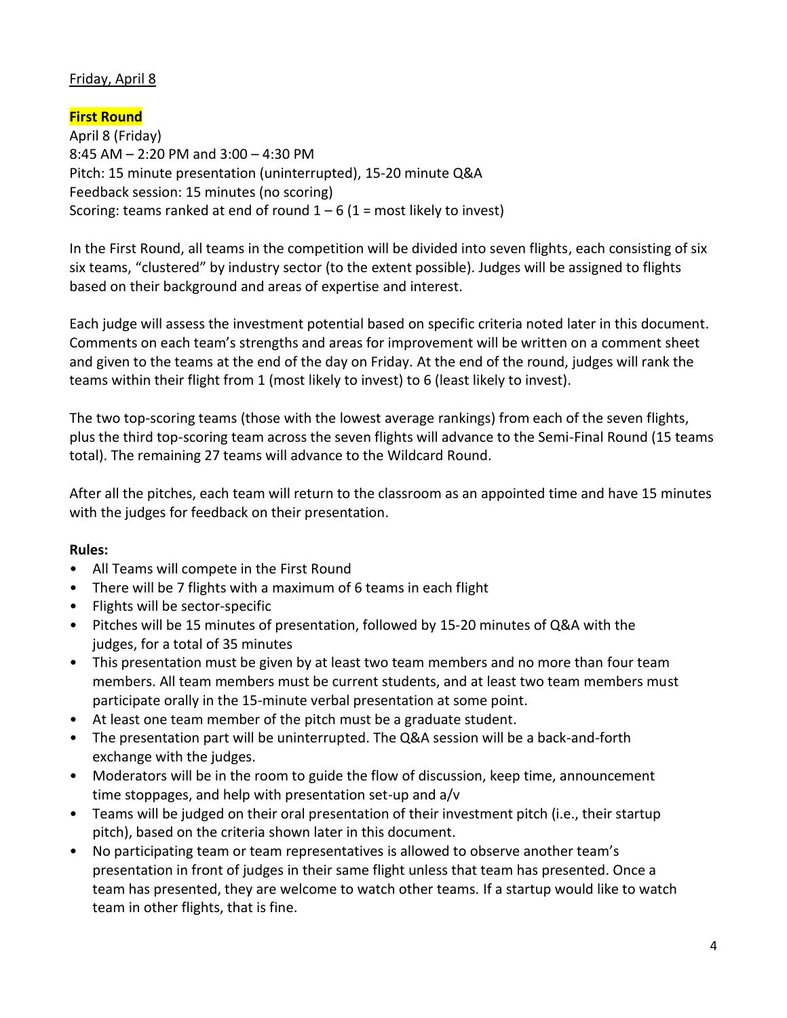# Friday, April 8

**First Round** April 8 (Friday) 8:45 AM – 2:20 PM and 3:00 – 4:30 PM Pitch: 15 minute presentation (uninterrupted), 15-20 minute Q&A Feedback session: 15 minutes (no scoring) Scoring: teams ranked at end of round  $1 - 6$  (1 = most likely to invest)

In the First Round, all teams in the competition will be divided into seven flights, each consisting of six six teams, "clustered" by industry sector (to the extent possible). Judges will be assigned to flights based on their background and areas of expertise and interest.

Each judge will assess the investment potential based on specific criteria noted later in this document. Comments on each team's strengths and areas for improvement will be written on a comment sheet and given to the teams at the end of the day on Friday. At the end of the round, judges will rank the teams within their flight from 1 (most likely to invest) to 6 (least likely to invest).

The two top-scoring teams (those with the lowest average rankings) from each of the seven flights, plus the third top-scoring team across the seven flights will advance to the Semi-Final Round (15 teams total). The remaining 27 teams will advance to the Wildcard Round.

After all the pitches, each team will return to the classroom as an appointed time and have 15 minutes with the judges for feedback on their presentation.

# **Rules:**

- All Teams will compete in the First Round
- There will be 7 flights with a maximum of 6 teams in each flight
- Flights will be sector-specific
- Pitches will be 15 minutes of presentation, followed by 15-20 minutes of Q&A with the judges, for a total of 35 minutes
- This presentation must be given by at least two team members and no more than four team members. All team members must be current students, and at least two team members must participate orally in the 15-minute verbal presentation at some point.
- At least one team member of the pitch must be a graduate student.
- The presentation part will be uninterrupted. The Q&A session will be a back-and-forth exchange with the judges.
- Moderators will be in the room to guide the flow of discussion, keep time, announcement time stoppages, and help with presentation set-up and a/v
- Teams will be judged on their oral presentation of their investment pitch (i.e., their startup pitch), based on the criteria shown later in this document.
- No participating team or team representatives is allowed to observe another team's presentation in front of judges in their same flight unless that team has presented. Once a team has presented, they are welcome to watch other teams. If a startup would like to watch team in other flights, that is fine.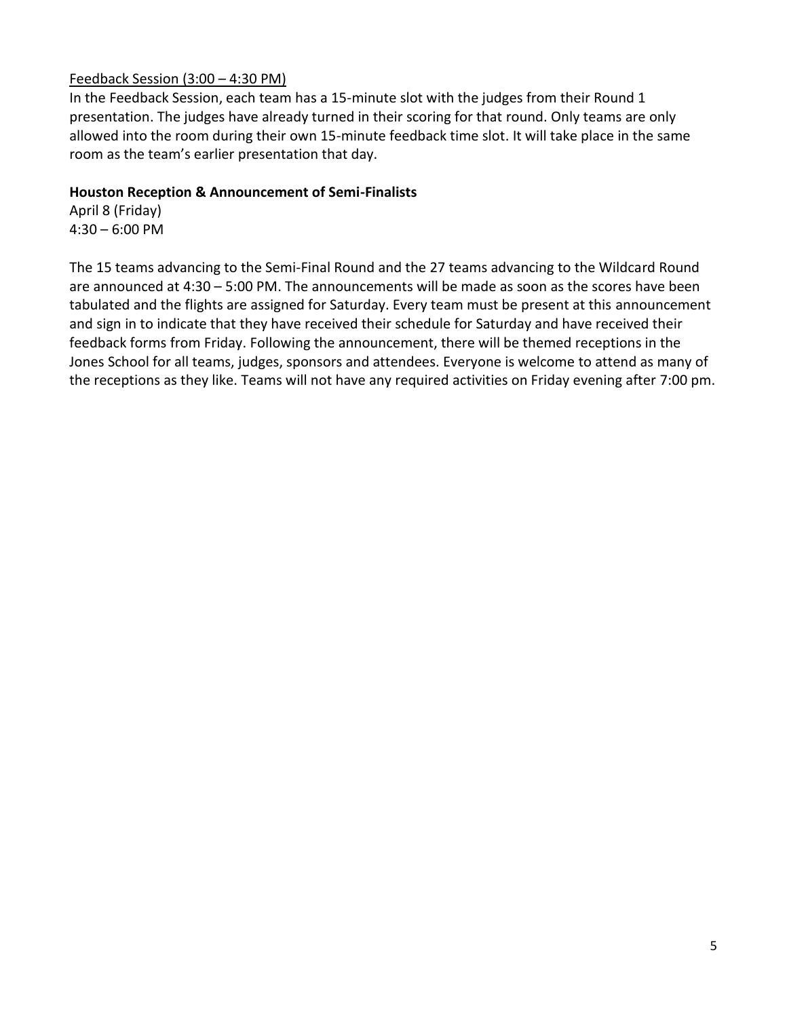# Feedback Session (3:00 – 4:30 PM)

In the Feedback Session, each team has a 15-minute slot with the judges from their Round 1 presentation. The judges have already turned in their scoring for that round. Only teams are only allowed into the room during their own 15-minute feedback time slot. It will take place in the same room as the team's earlier presentation that day.

# **Houston Reception & Announcement of Semi-Finalists**

April 8 (Friday) 4:30 – 6:00 PM

The 15 teams advancing to the Semi-Final Round and the 27 teams advancing to the Wildcard Round are announced at 4:30 – 5:00 PM. The announcements will be made as soon as the scores have been tabulated and the flights are assigned for Saturday. Every team must be present at this announcement and sign in to indicate that they have received their schedule for Saturday and have received their feedback forms from Friday. Following the announcement, there will be themed receptions in the Jones School for all teams, judges, sponsors and attendees. Everyone is welcome to attend as many of the receptions as they like. Teams will not have any required activities on Friday evening after 7:00 pm.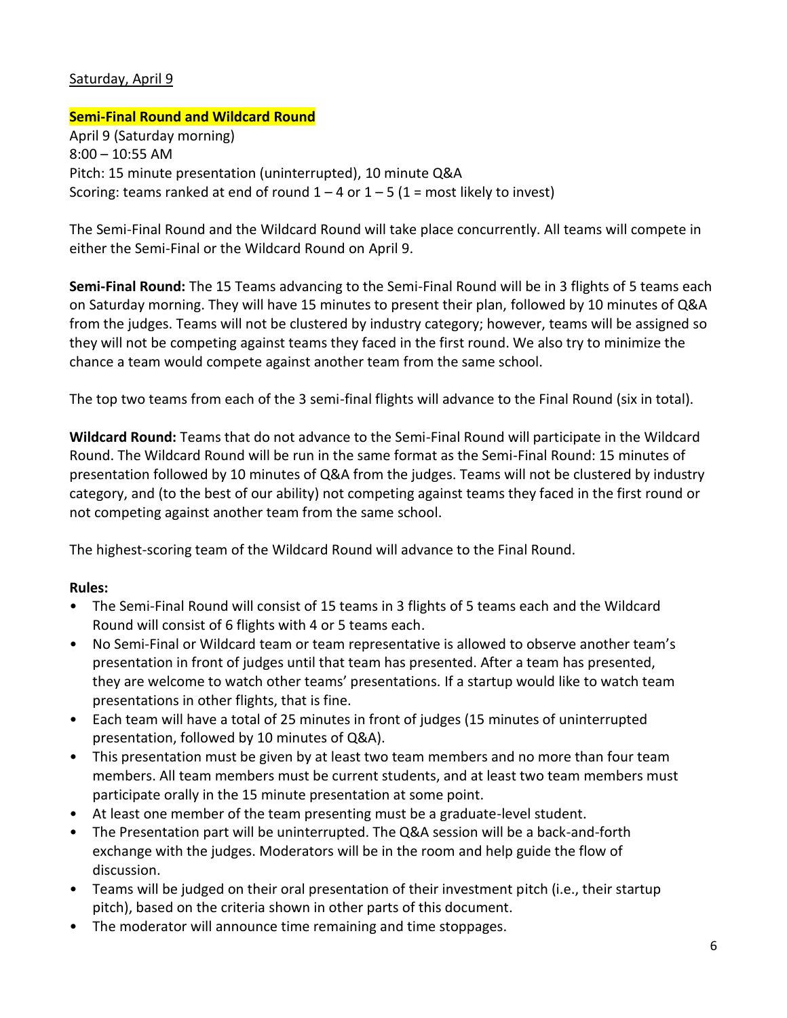# Saturday, April 9

# **Semi-Final Round and Wildcard Round**

April 9 (Saturday morning) 8:00 – 10:55 AM Pitch: 15 minute presentation (uninterrupted), 10 minute Q&A Scoring: teams ranked at end of round  $1 - 4$  or  $1 - 5$  (1 = most likely to invest)

The Semi-Final Round and the Wildcard Round will take place concurrently. All teams will compete in either the Semi-Final or the Wildcard Round on April 9.

**Semi-Final Round:** The 15 Teams advancing to the Semi-Final Round will be in 3 flights of 5 teams each on Saturday morning. They will have 15 minutes to present their plan, followed by 10 minutes of Q&A from the judges. Teams will not be clustered by industry category; however, teams will be assigned so they will not be competing against teams they faced in the first round. We also try to minimize the chance a team would compete against another team from the same school.

The top two teams from each of the 3 semi-final flights will advance to the Final Round (six in total).

**Wildcard Round:** Teams that do not advance to the Semi-Final Round will participate in the Wildcard Round. The Wildcard Round will be run in the same format as the Semi-Final Round: 15 minutes of presentation followed by 10 minutes of Q&A from the judges. Teams will not be clustered by industry category, and (to the best of our ability) not competing against teams they faced in the first round or not competing against another team from the same school.

The highest-scoring team of the Wildcard Round will advance to the Final Round.

# **Rules:**

- The Semi-Final Round will consist of 15 teams in 3 flights of 5 teams each and the Wildcard Round will consist of 6 flights with 4 or 5 teams each.
- No Semi-Final or Wildcard team or team representative is allowed to observe another team's presentation in front of judges until that team has presented. After a team has presented, they are welcome to watch other teams' presentations. If a startup would like to watch team presentations in other flights, that is fine.
- Each team will have a total of 25 minutes in front of judges (15 minutes of uninterrupted presentation, followed by 10 minutes of Q&A).
- This presentation must be given by at least two team members and no more than four team members. All team members must be current students, and at least two team members must participate orally in the 15 minute presentation at some point.
- At least one member of the team presenting must be a graduate-level student.
- The Presentation part will be uninterrupted. The Q&A session will be a back-and-forth exchange with the judges. Moderators will be in the room and help guide the flow of discussion.
- Teams will be judged on their oral presentation of their investment pitch (i.e., their startup pitch), based on the criteria shown in other parts of this document.
- The moderator will announce time remaining and time stoppages.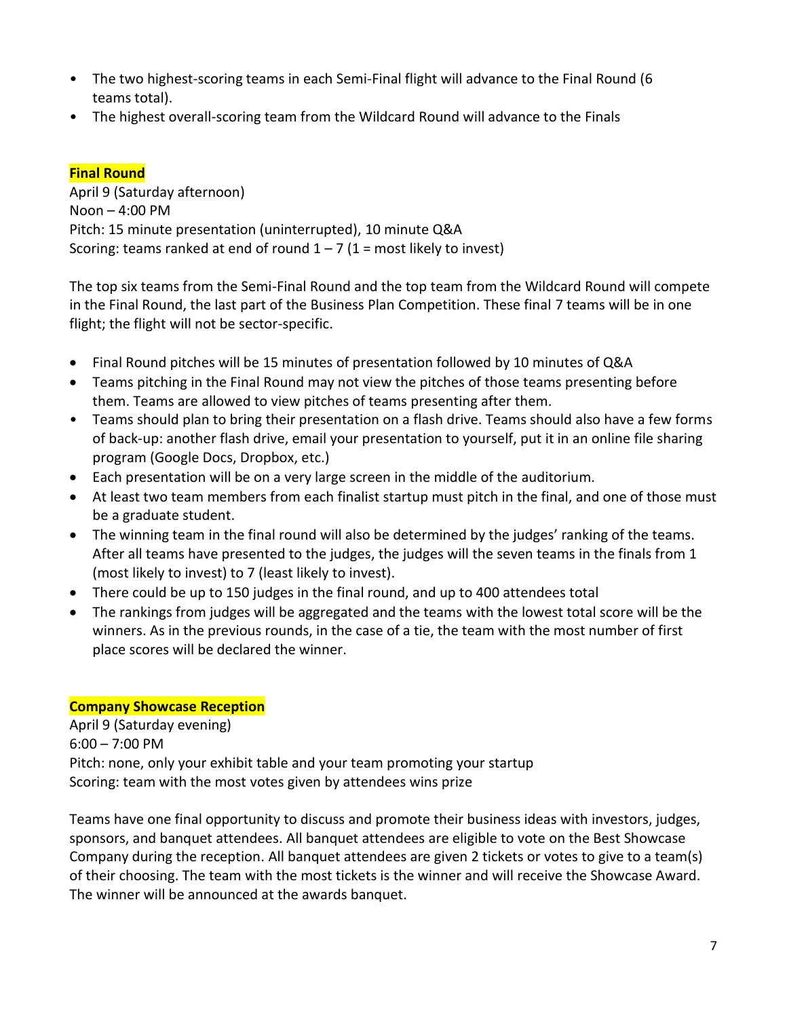- The two highest-scoring teams in each Semi-Final flight will advance to the Final Round (6 teams total).
- The highest overall-scoring team from the Wildcard Round will advance to the Finals

# **Final Round**

April 9 (Saturday afternoon) Noon – 4:00 PM Pitch: 15 minute presentation (uninterrupted), 10 minute Q&A Scoring: teams ranked at end of round  $1 - 7$  (1 = most likely to invest)

The top six teams from the Semi-Final Round and the top team from the Wildcard Round will compete in the Final Round, the last part of the Business Plan Competition. These final 7 teams will be in one flight; the flight will not be sector-specific.

- Final Round pitches will be 15 minutes of presentation followed by 10 minutes of Q&A
- Teams pitching in the Final Round may not view the pitches of those teams presenting before them. Teams are allowed to view pitches of teams presenting after them.
- Teams should plan to bring their presentation on a flash drive. Teams should also have a few forms of back-up: another flash drive, email your presentation to yourself, put it in an online file sharing program (Google Docs, Dropbox, etc.)
- Each presentation will be on a very large screen in the middle of the auditorium.
- At least two team members from each finalist startup must pitch in the final, and one of those must be a graduate student.
- The winning team in the final round will also be determined by the judges' ranking of the teams. After all teams have presented to the judges, the judges will the seven teams in the finals from 1 (most likely to invest) to 7 (least likely to invest).
- There could be up to 150 judges in the final round, and up to 400 attendees total
- The rankings from judges will be aggregated and the teams with the lowest total score will be the winners. As in the previous rounds, in the case of a tie, the team with the most number of first place scores will be declared the winner.

# **Company Showcase Reception**

April 9 (Saturday evening) 6:00 – 7:00 PM Pitch: none, only your exhibit table and your team promoting your startup Scoring: team with the most votes given by attendees wins prize

Teams have one final opportunity to discuss and promote their business ideas with investors, judges, sponsors, and banquet attendees. All banquet attendees are eligible to vote on the Best Showcase Company during the reception. All banquet attendees are given 2 tickets or votes to give to a team(s) of their choosing. The team with the most tickets is the winner and will receive the Showcase Award. The winner will be announced at the awards banquet.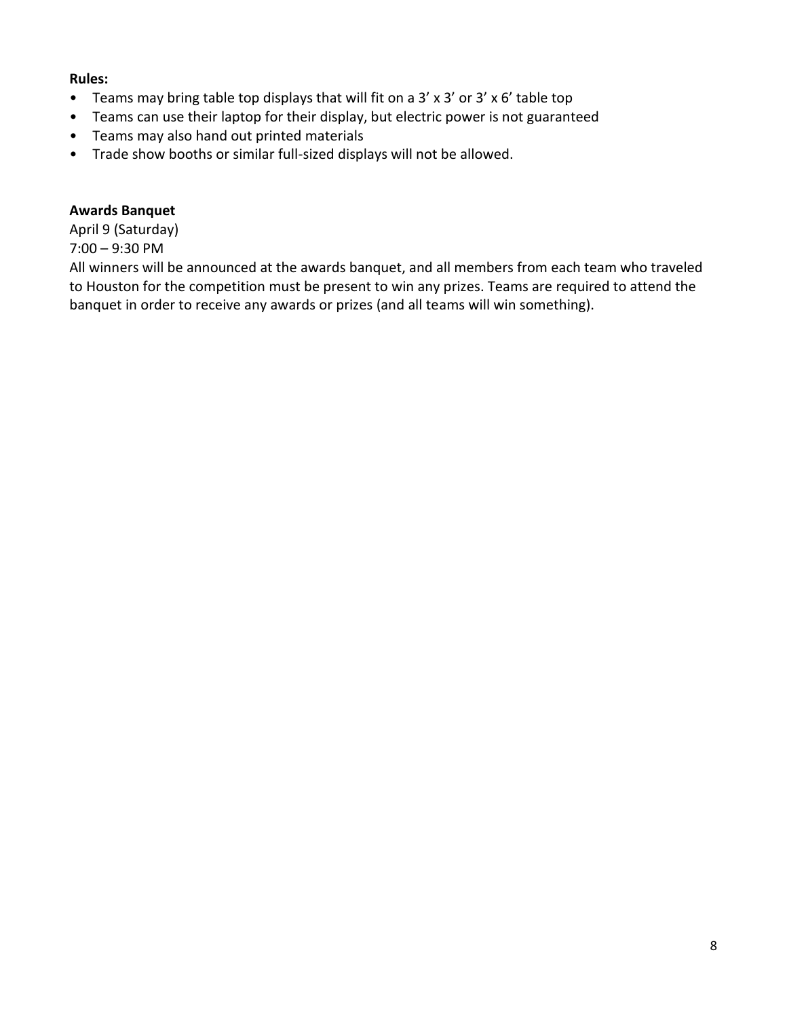#### **Rules:**

- Teams may bring table top displays that will fit on a 3' x 3' or 3' x 6' table top
- Teams can use their laptop for their display, but electric power is not guaranteed
- Teams may also hand out printed materials
- Trade show booths or similar full-sized displays will not be allowed.

#### **Awards Banquet**

April 9 (Saturday) 7:00 – 9:30 PM

All winners will be announced at the awards banquet, and all members from each team who traveled to Houston for the competition must be present to win any prizes. Teams are required to attend the banquet in order to receive any awards or prizes (and all teams will win something).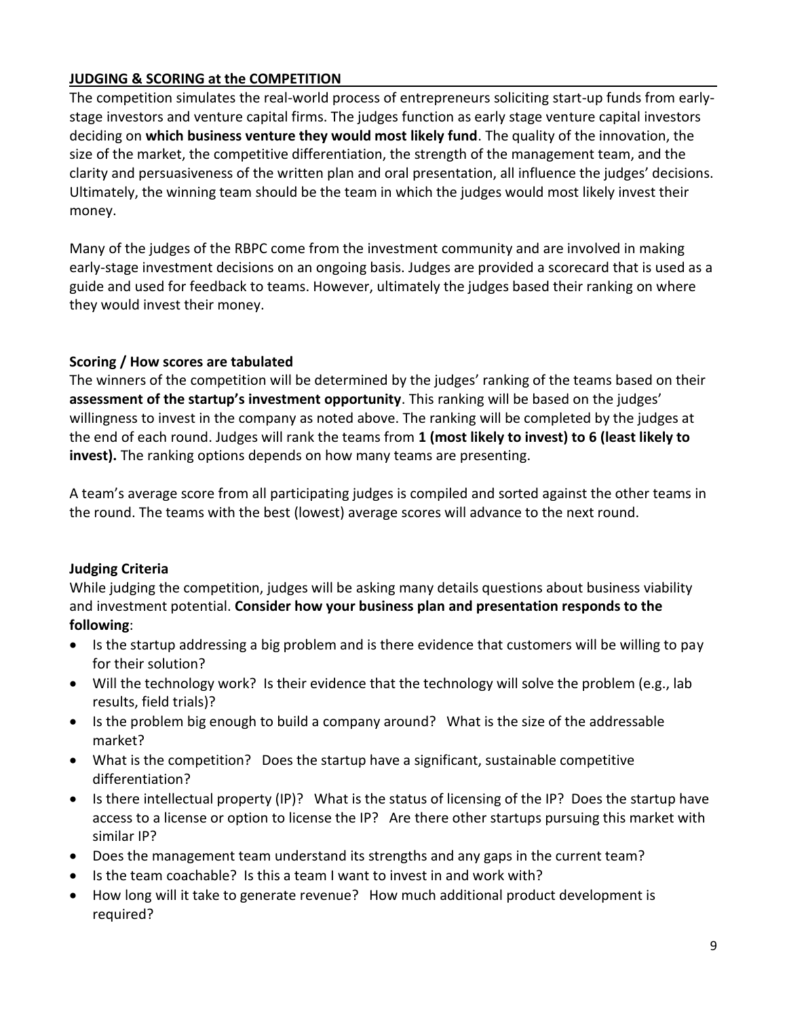# **JUDGING & SCORING at the COMPETITION**

The competition simulates the real-world process of entrepreneurs soliciting start-up funds from earlystage investors and venture capital firms. The judges function as early stage venture capital investors deciding on **which business venture they would most likely fund**. The quality of the innovation, the size of the market, the competitive differentiation, the strength of the management team, and the clarity and persuasiveness of the written plan and oral presentation, all influence the judges' decisions. Ultimately, the winning team should be the team in which the judges would most likely invest their money.

Many of the judges of the RBPC come from the investment community and are involved in making early-stage investment decisions on an ongoing basis. Judges are provided a scorecard that is used as a guide and used for feedback to teams. However, ultimately the judges based their ranking on where they would invest their money.

# **Scoring / How scores are tabulated**

The winners of the competition will be determined by the judges' ranking of the teams based on their **assessment of the startup's investment opportunity**. This ranking will be based on the judges' willingness to invest in the company as noted above. The ranking will be completed by the judges at the end of each round. Judges will rank the teams from **1 (most likely to invest) to 6 (least likely to invest).** The ranking options depends on how many teams are presenting.

A team's average score from all participating judges is compiled and sorted against the other teams in the round. The teams with the best (lowest) average scores will advance to the next round.

# **Judging Criteria**

While judging the competition, judges will be asking many details questions about business viability and investment potential. **Consider how your business plan and presentation responds to the following**:

- Is the startup addressing a big problem and is there evidence that customers will be willing to pay for their solution?
- Will the technology work? Is their evidence that the technology will solve the problem (e.g., lab results, field trials)?
- Is the problem big enough to build a company around? What is the size of the addressable market?
- What is the competition? Does the startup have a significant, sustainable competitive differentiation?
- Is there intellectual property (IP)? What is the status of licensing of the IP? Does the startup have access to a license or option to license the IP? Are there other startups pursuing this market with similar IP?
- Does the management team understand its strengths and any gaps in the current team?
- Is the team coachable? Is this a team I want to invest in and work with?
- How long will it take to generate revenue? How much additional product development is required?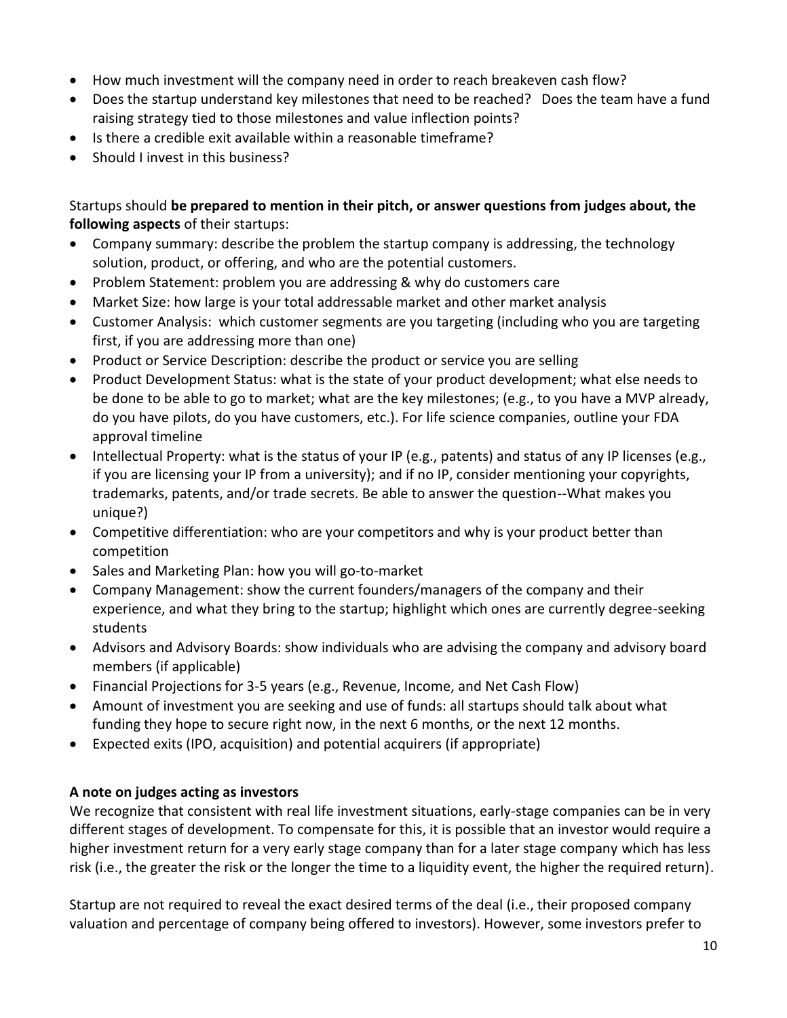- How much investment will the company need in order to reach breakeven cash flow?
- Does the startup understand key milestones that need to be reached? Does the team have a fund raising strategy tied to those milestones and value inflection points?
- Is there a credible exit available within a reasonable timeframe?
- Should I invest in this business?

Startups should **be prepared to mention in their pitch, or answer questions from judges about, the following aspects** of their startups:

- Company summary: describe the problem the startup company is addressing, the technology solution, product, or offering, and who are the potential customers.
- Problem Statement: problem you are addressing & why do customers care
- Market Size: how large is your total addressable market and other market analysis
- Customer Analysis: which customer segments are you targeting (including who you are targeting first, if you are addressing more than one)
- Product or Service Description: describe the product or service you are selling
- Product Development Status: what is the state of your product development; what else needs to be done to be able to go to market; what are the key milestones; (e.g., to you have a MVP already, do you have pilots, do you have customers, etc.). For life science companies, outline your FDA approval timeline
- Intellectual Property: what is the status of your IP (e.g., patents) and status of any IP licenses (e.g., if you are licensing your IP from a university); and if no IP, consider mentioning your copyrights, trademarks, patents, and/or trade secrets. Be able to answer the question--What makes you unique?)
- Competitive differentiation: who are your competitors and why is your product better than competition
- Sales and Marketing Plan: how you will go-to-market
- Company Management: show the current founders/managers of the company and their experience, and what they bring to the startup; highlight which ones are currently degree-seeking students
- Advisors and Advisory Boards: show individuals who are advising the company and advisory board members (if applicable)
- Financial Projections for 3-5 years (e.g., Revenue, Income, and Net Cash Flow)
- Amount of investment you are seeking and use of funds: all startups should talk about what funding they hope to secure right now, in the next 6 months, or the next 12 months.
- Expected exits (IPO, acquisition) and potential acquirers (if appropriate)

# **A note on judges acting as investors**

We recognize that consistent with real life investment situations, early-stage companies can be in very different stages of development. To compensate for this, it is possible that an investor would require a higher investment return for a very early stage company than for a later stage company which has less risk (i.e., the greater the risk or the longer the time to a liquidity event, the higher the required return).

Startup are not required to reveal the exact desired terms of the deal (i.e., their proposed company valuation and percentage of company being offered to investors). However, some investors prefer to